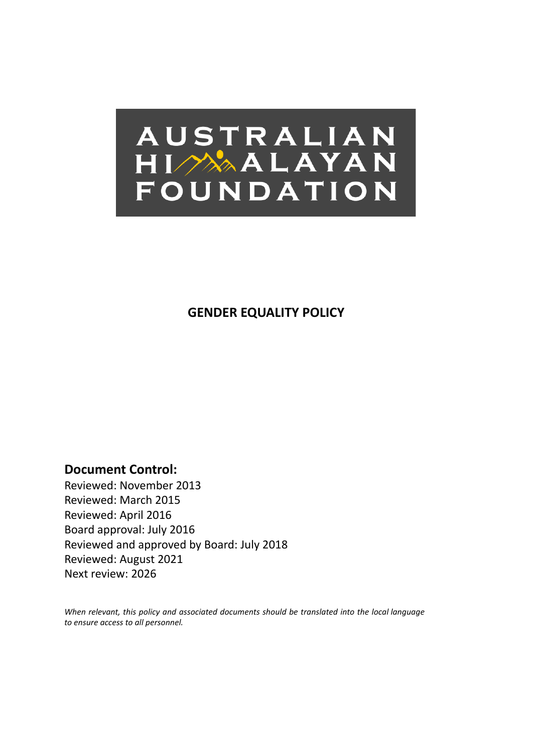

**GENDER EQUALITY POLICY**

**Document Control:**

Reviewed: November 2013 Reviewed: March 2015 Reviewed: April 2016 Board approval: July 2016 Reviewed and approved by Board: July 2018 Reviewed: August 2021 Next review: 2026

*When relevant, this policy and associated documents should be translated into the local language to ensure access to all personnel.*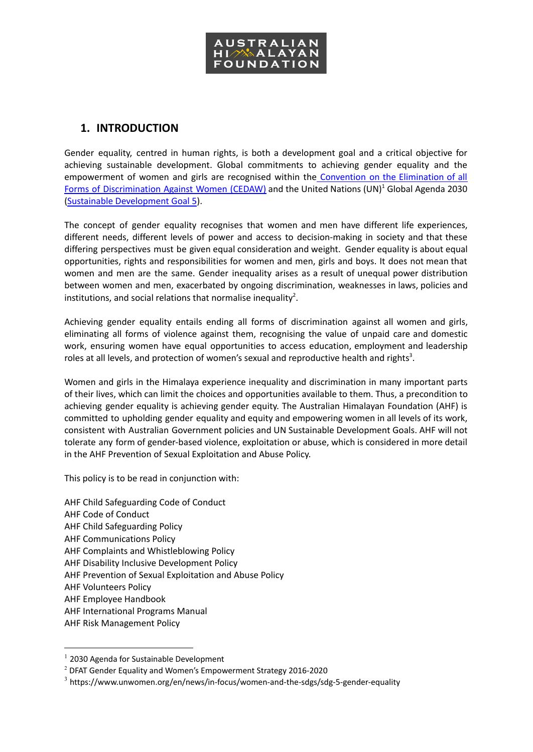

## **1. INTRODUCTION**

Gender equality, centred in human rights, is both a development goal and a critical objective for achieving sustainable development. Global commitments to achieving gender equality and the empowerment of women and girls are recognised within the [Convention](https://www.ohchr.org/en/professionalinterest/pages/cedaw.aspx) on the Elimination of all Forms of [Discrimination](https://www.ohchr.org/en/professionalinterest/pages/cedaw.aspx) Against Women (CEDAW) and the United Nations (UN)<sup>1</sup> Global Agenda 2030 (Sustainable [Development](https://www.un.org/sustainabledevelopment/gender-equality/) Goal 5).

The concept of gender equality recognises that women and men have different life experiences, different needs, different levels of power and access to decision-making in society and that these differing perspectives must be given equal consideration and weight. Gender equality is about equal opportunities, rights and responsibilities for women and men, girls and boys. It does not mean that women and men are the same. Gender inequality arises as a result of unequal power distribution between women and men, exacerbated by ongoing discrimination, weaknesses in laws, policies and institutions, and social relations that normalise inequality<sup>2</sup>.

Achieving gender equality entails ending all forms of discrimination against all women and girls, eliminating all forms of violence against them, recognising the value of unpaid care and domestic work, ensuring women have equal opportunities to access education, employment and leadership roles at all levels, and protection of women's sexual and reproductive health and rights<sup>3</sup>.

Women and girls in the Himalaya experience inequality and discrimination in many important parts of their lives, which can limit the choices and opportunities available to them. Thus, a precondition to achieving gender equality is achieving gender equity. The Australian Himalayan Foundation (AHF) is committed to upholding gender equality and equity and empowering women in all levels of its work, consistent with Australian Government policies and UN Sustainable Development Goals. AHF will not tolerate any form of gender-based violence, exploitation or abuse, which is considered in more detail in the AHF Prevention of Sexual Exploitation and Abuse Policy.

This policy is to be read in conjunction with:

- AHF Child Safeguarding Code of Conduct
- AHF Code of Conduct
- AHF Child Safeguarding Policy
- AHF Communications Policy
- AHF Complaints and Whistleblowing Policy
- AHF Disability Inclusive Development Policy
- AHF Prevention of Sexual Exploitation and Abuse Policy
- AHF Volunteers Policy
- AHF Employee Handbook
- AHF International Programs Manual
- AHF Risk Management Policy

 $1$  2030 Agenda for Sustainable Development

<sup>2</sup> DFAT Gender Equality and Women's Empowerment Strategy 2016-2020

<sup>3</sup> https://www.unwomen.org/en/news/in-focus/women-and-the-sdgs/sdg-5-gender-equality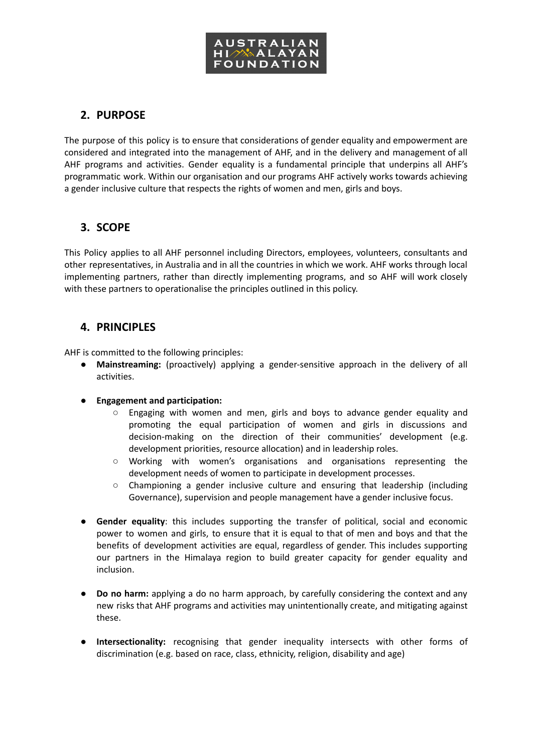

# **2. PURPOSE**

The purpose of this policy is to ensure that considerations of gender equality and empowerment are considered and integrated into the management of AHF, and in the delivery and management of all AHF programs and activities. Gender equality is a fundamental principle that underpins all AHF's programmatic work. Within our organisation and our programs AHF actively works towards achieving a gender inclusive culture that respects the rights of women and men, girls and boys.

## **3. SCOPE**

This Policy applies to all AHF personnel including Directors, employees, volunteers, consultants and other representatives, in Australia and in all the countries in which we work. AHF works through local implementing partners, rather than directly implementing programs, and so AHF will work closely with these partners to operationalise the principles outlined in this policy.

## **4. PRINCIPLES**

AHF is committed to the following principles:

- **Mainstreaming:** (proactively) applying a gender-sensitive approach in the delivery of all activities.
- **Engagement and participation:**
	- Engaging with women and men, girls and boys to advance gender equality and promoting the equal participation of women and girls in discussions and decision-making on the direction of their communities' development (e.g. development priorities, resource allocation) and in leadership roles.
	- Working with women's organisations and organisations representing the development needs of women to participate in development processes.
	- Championing a gender inclusive culture and ensuring that leadership (including Governance), supervision and people management have a gender inclusive focus.
- **● Gender equality**: this includes supporting the transfer of political, social and economic power to women and girls, to ensure that it is equal to that of men and boys and that the benefits of development activities are equal, regardless of gender. This includes supporting our partners in the Himalaya region to build greater capacity for gender equality and inclusion.
- **● Do no harm:** applying a do no harm approach, by carefully considering the context and any new risks that AHF programs and activities may unintentionally create, and mitigating against these.
- **● Intersectionality:** recognising that gender inequality intersects with other forms of discrimination (e.g. based on race, class, ethnicity, religion, disability and age)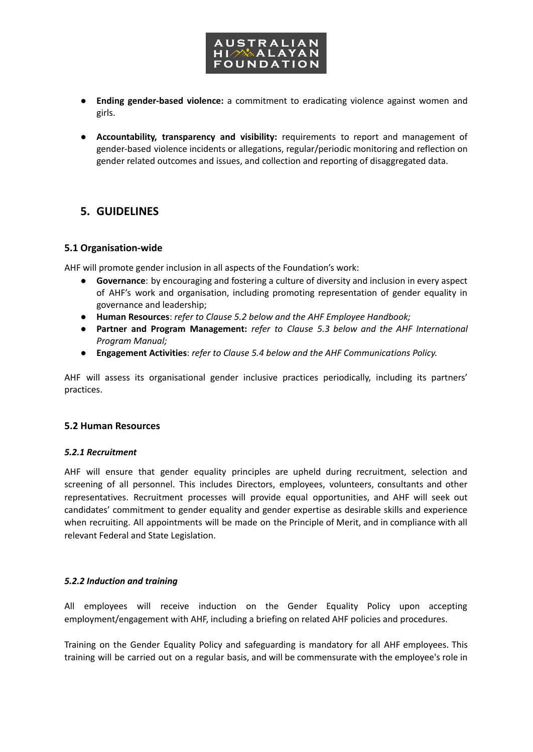

- **● Ending gender-based violence:** a commitment to eradicating violence against women and girls.
- **Accountability, transparency and visibility:** requirements to report and management of gender-based violence incidents or allegations, regular/periodic monitoring and reflection on gender related outcomes and issues, and collection and reporting of disaggregated data.

### **5. GUIDELINES**

#### **5.1 Organisation-wide**

AHF will promote gender inclusion in all aspects of the Foundation's work:

- **Governance**: by encouraging and fostering a culture of diversity and inclusion in every aspect of AHF's work and organisation, including promoting representation of gender equality in governance and leadership;
- **Human Resources**: *refer to Clause 5.2 below and the AHF Employee Handbook;*
- *●* **Partner and Program Management:** *refer to Clause 5.3 below and the AHF International Program Manual;*
- **Engagement Activities**: *refer to Clause 5.4 below and the AHF Communications Policy.*

AHF will assess its organisational gender inclusive practices periodically, including its partners' practices.

#### **5.2 Human Resources**

#### *5.2.1 Recruitment*

AHF will ensure that gender equality principles are upheld during recruitment, selection and screening of all personnel. This includes Directors, employees, volunteers, consultants and other representatives. Recruitment processes will provide equal opportunities, and AHF will seek out candidates' commitment to gender equality and gender expertise as desirable skills and experience when recruiting. All appointments will be made on the Principle of Merit, and in compliance with all relevant Federal and State Legislation.

#### *5.2.2 Induction and training*

All employees will receive induction on the Gender Equality Policy upon accepting employment/engagement with AHF, including a briefing on related AHF policies and procedures.

Training on the Gender Equality Policy and safeguarding is mandatory for all AHF employees. This training will be carried out on a regular basis, and will be commensurate with the employee's role in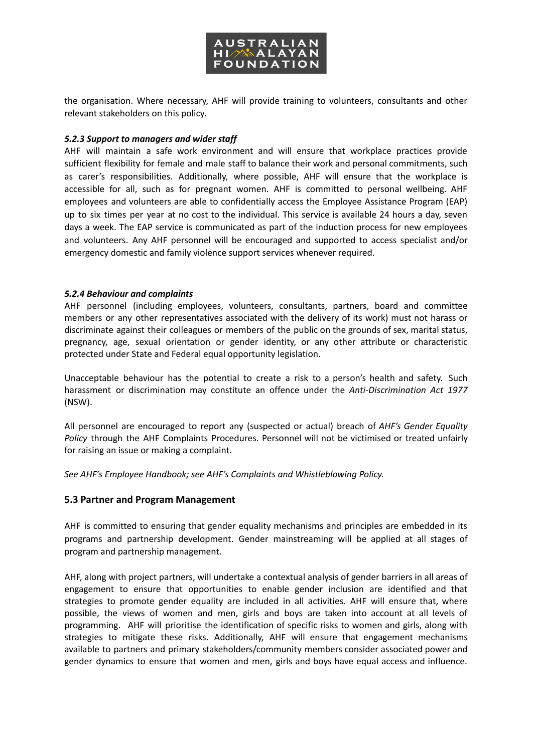

the organisation. Where necessary, AHF will provide training to volunteers, consultants and other relevant stakeholders on this policy.

#### *5.2.3 Support to managers and wider staff*

AHF will maintain a safe work environment and will ensure that workplace practices provide sufficient flexibility for female and male staff to balance their work and personal commitments, such as carer's responsibilities. Additionally, where possible, AHF will ensure that the workplace is accessible for all, such as for pregnant women. AHF is committed to personal wellbeing. AHF employees and volunteers are able to confidentially access the Employee Assistance Program (EAP) up to six times per year at no cost to the individual. This service is available 24 hours a day, seven days a week. The EAP service is communicated as part of the induction process for new employees and volunteers. Any AHF personnel will be encouraged and supported to access specialist and/or emergency domestic and family violence support services whenever required.

#### *5.2.4 Behaviour and complaints*

AHF personnel (including employees, volunteers, consultants, partners, board and committee members or any other representatives associated with the delivery of its work) must not harass or discriminate against their colleagues or members of the public on the grounds of sex, marital status, pregnancy, age, sexual orientation or gender identity, or any other attribute or characteristic protected under State and Federal equal opportunity legislation.

Unacceptable behaviour has the potential to create a risk to a person's health and safety. Such harassment or discrimination may constitute an offence under the *Anti-Discrimination Act 1977* (NSW).

All personnel are encouraged to report any (suspected or actual) breach of *AHF's Gender Equality Policy* through the AHF Complaints Procedures. Personnel will not be victimised or treated unfairly for raising an issue or making a complaint.

*See AHF's Employee Handbook; see AHF's Complaints and Whistleblowing Policy.*

### **5.3 Partner and Program Management**

AHF is committed to ensuring that gender equality mechanisms and principles are embedded in its programs and partnership development. Gender mainstreaming will be applied at all stages of program and partnership management.

AHF, along with project partners, will undertake a contextual analysis of gender barriers in all areas of engagement to ensure that opportunities to enable gender inclusion are identified and that strategies to promote gender equality are included in all activities. AHF will ensure that, where possible, the views of women and men, girls and boys are taken into account at all levels of programming. AHF will prioritise the identification of specific risks to women and girls, along with strategies to mitigate these risks. Additionally, AHF will ensure that engagement mechanisms available to partners and primary stakeholders/community members consider associated power and gender dynamics to ensure that women and men, girls and boys have equal access and influence.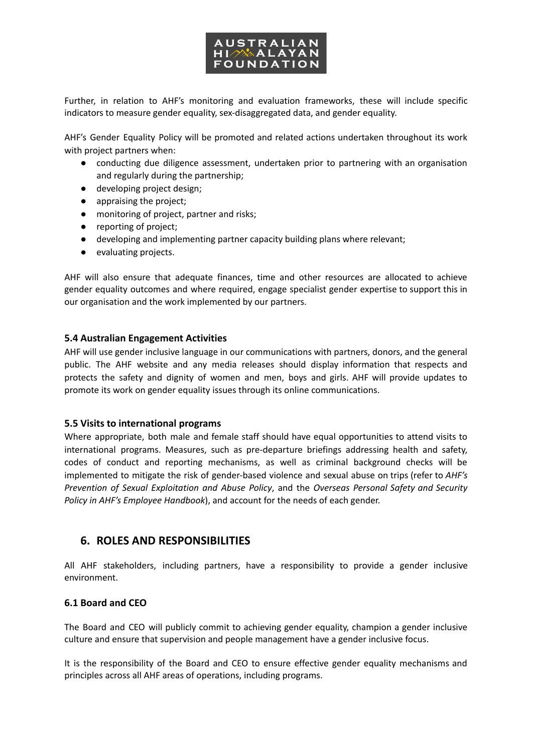

Further, in relation to AHF's monitoring and evaluation frameworks, these will include specific indicators to measure gender equality, sex-disaggregated data, and gender equality.

AHF's Gender Equality Policy will be promoted and related actions undertaken throughout its work with project partners when:

- conducting due diligence assessment, undertaken prior to partnering with an organisation and regularly during the partnership;
- developing project design;
- appraising the project;
- monitoring of project, partner and risks;
- reporting of project;
- developing and implementing partner capacity building plans where relevant;
- evaluating projects.

AHF will also ensure that adequate finances, time and other resources are allocated to achieve gender equality outcomes and where required, engage specialist gender expertise to support this in our organisation and the work implemented by our partners.

#### **5.4 Australian Engagement Activities**

AHF will use gender inclusive language in our communications with partners, donors, and the general public. The AHF website and any media releases should display information that respects and protects the safety and dignity of women and men, boys and girls. AHF will provide updates to promote its work on gender equality issues through its online communications.

#### **5.5 Visits to international programs**

Where appropriate, both male and female staff should have equal opportunities to attend visits to international programs. Measures, such as pre-departure briefings addressing health and safety, codes of conduct and reporting mechanisms, as well as criminal background checks will be implemented to mitigate the risk of gender-based violence and sexual abuse on trips (refer to *AHF's Prevention of Sexual Exploitation and Abuse Policy*, and the *Overseas Personal Safety and Security Policy in AHF's Employee Handbook*), and account for the needs of each gender.

### **6. ROLES AND RESPONSIBILITIES**

All AHF stakeholders, including partners, have a responsibility to provide a gender inclusive environment.

#### **6.1 Board and CEO**

The Board and CEO will publicly commit to achieving gender equality, champion a gender inclusive culture and ensure that supervision and people management have a gender inclusive focus.

It is the responsibility of the Board and CEO to ensure effective gender equality mechanisms and principles across all AHF areas of operations, including programs.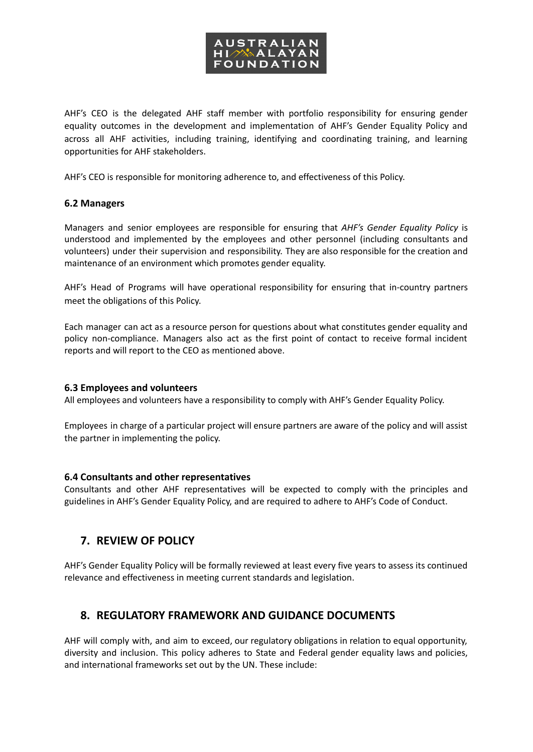

AHF's CEO is the delegated AHF staff member with portfolio responsibility for ensuring gender equality outcomes in the development and implementation of AHF's Gender Equality Policy and across all AHF activities, including training, identifying and coordinating training, and learning opportunities for AHF stakeholders.

AHF's CEO is responsible for monitoring adherence to, and effectiveness of this Policy.

### **6.2 Managers**

Managers and senior employees are responsible for ensuring that *AHF's Gender Equality Policy* is understood and implemented by the employees and other personnel (including consultants and volunteers) under their supervision and responsibility. They are also responsible for the creation and maintenance of an environment which promotes gender equality.

AHF's Head of Programs will have operational responsibility for ensuring that in-country partners meet the obligations of this Policy.

Each manager can act as a resource person for questions about what constitutes gender equality and policy non-compliance. Managers also act as the first point of contact to receive formal incident reports and will report to the CEO as mentioned above.

### **6.3 Employees and volunteers**

All employees and volunteers have a responsibility to comply with AHF's Gender Equality Policy.

Employees in charge of a particular project will ensure partners are aware of the policy and will assist the partner in implementing the policy.

#### **6.4 Consultants and other representatives**

Consultants and other AHF representatives will be expected to comply with the principles and guidelines in AHF's Gender Equality Policy, and are required to adhere to AHF's Code of Conduct.

## **7. REVIEW OF POLICY**

AHF's Gender Equality Policy will be formally reviewed at least every five years to assess its continued relevance and effectiveness in meeting current standards and legislation.

## **8. REGULATORY FRAMEWORK AND GUIDANCE DOCUMENTS**

AHF will comply with, and aim to exceed, our regulatory obligations in relation to equal opportunity, diversity and inclusion. This policy adheres to State and Federal gender equality laws and policies, and international frameworks set out by the UN. These include: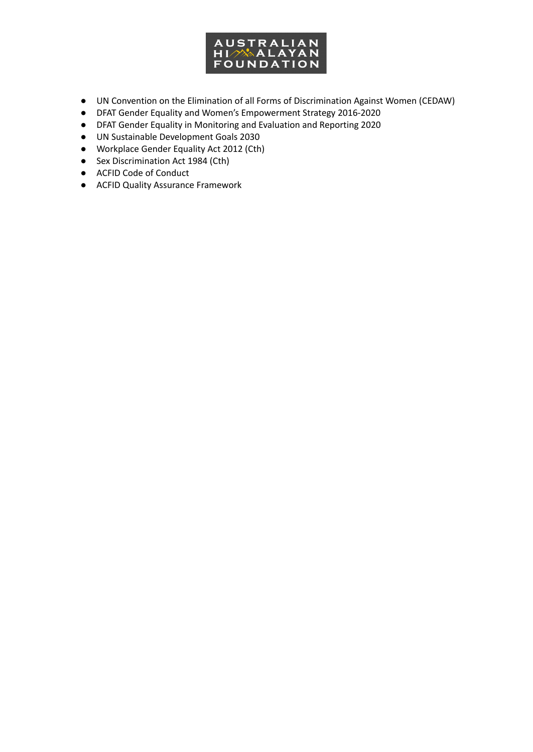

- UN Convention on the Elimination of all Forms of Discrimination Against Women (CEDAW)
- DFAT Gender Equality and Women's Empowerment Strategy 2016-2020
- DFAT Gender Equality in Monitoring and Evaluation and Reporting 2020
- UN Sustainable Development Goals 2030
- Workplace Gender Equality Act 2012 (Cth)
- Sex Discrimination Act 1984 (Cth)
- ACFID Code of Conduct
- ACFID Quality Assurance Framework